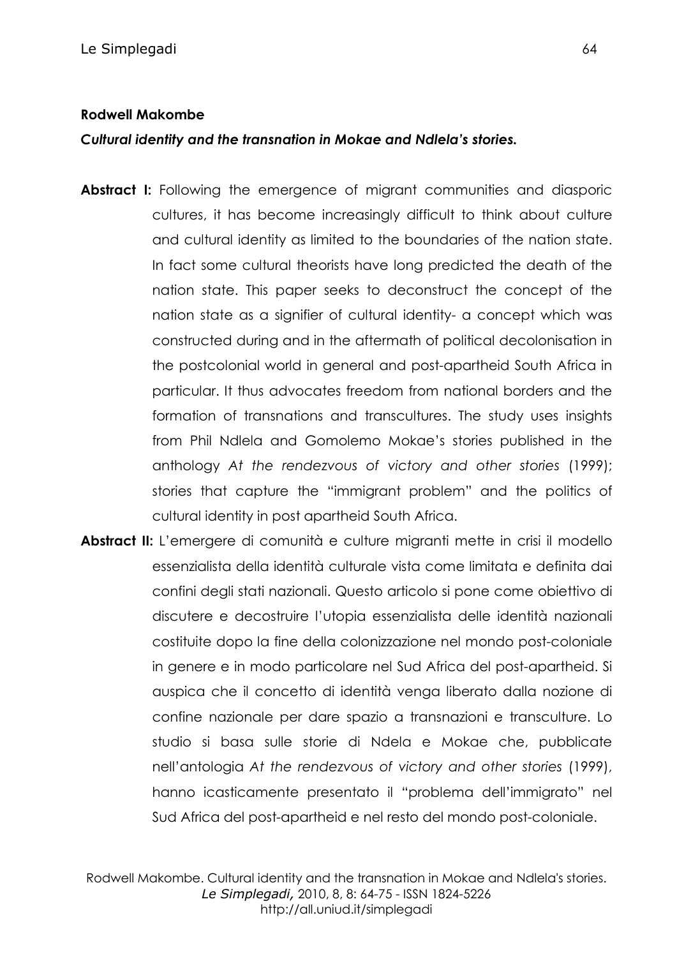## **Rodwell Makombe**

*Cultural identity and the transnation in Mokae and Ndlela's stories.*

- **Abstract I:** Following the emergence of migrant communities and diasporic cultures, it has become increasingly difficult to think about culture and cultural identity as limited to the boundaries of the nation state. In fact some cultural theorists have long predicted the death of the nation state. This paper seeks to deconstruct the concept of the nation state as a signifier of cultural identity- a concept which was constructed during and in the aftermath of political decolonisation in the postcolonial world in general and post-apartheid South Africa in particular. It thus advocates freedom from national borders and the formation of transnations and transcultures. The study uses insights from Phil Ndlela and Gomolemo Mokae's stories published in the anthology *At the rendezvous of victory and other stories* (1999); stories that capture the "immigrant problem" and the politics of cultural identity in post apartheid South Africa.
- **Abstract II:** L'emergere di comunità e culture migranti mette in crisi il modello essenzialista della identità culturale vista come limitata e definita dai confini degli stati nazionali. Questo articolo si pone come obiettivo di discutere e decostruire l'utopia essenzialista delle identità nazionali costituite dopo la fine della colonizzazione nel mondo post-coloniale in genere e in modo particolare nel Sud Africa del post-apartheid. Si auspica che il concetto di identità venga liberato dalla nozione di confine nazionale per dare spazio a transnazioni e transculture. Lo studio si basa sulle storie di Ndela e Mokae che, pubblicate nell'antologia *At the rendezvous of victory and other stories* (1999), hanno icasticamente presentato il "problema dell'immigrato" nel Sud Africa del post-apartheid e nel resto del mondo post-coloniale.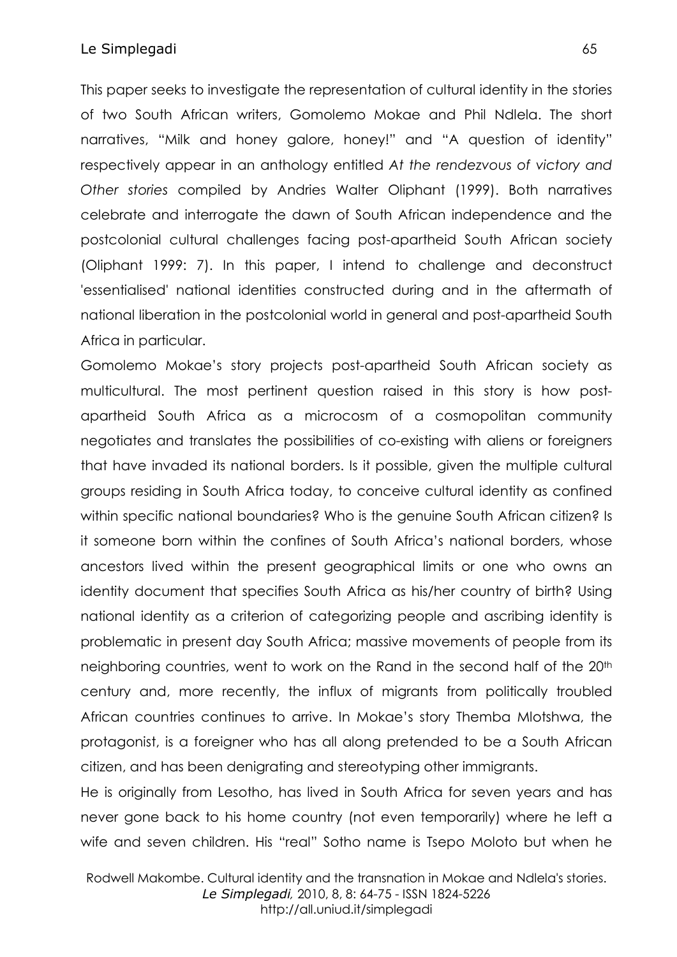This paper seeks to investigate the representation of cultural identity in the stories of two South African writers, Gomolemo Mokae and Phil Ndlela. The short narratives, "Milk and honey galore, honey!" and "A question of identity" respectively appear in an anthology entitled *At the rendezvous of victory and Other stories* compiled by Andries Walter Oliphant (1999). Both narratives celebrate and interrogate the dawn of South African independence and the postcolonial cultural challenges facing post-apartheid South African society (Oliphant 1999: 7). In this paper, I intend to challenge and deconstruct 'essentialised' national identities constructed during and in the aftermath of national liberation in the postcolonial world in general and post-apartheid South Africa in particular.

Gomolemo Mokae's story projects post-apartheid South African society as multicultural. The most pertinent question raised in this story is how postapartheid South Africa as a microcosm of a cosmopolitan community negotiates and translates the possibilities of co-existing with aliens or foreigners that have invaded its national borders. Is it possible, given the multiple cultural groups residing in South Africa today, to conceive cultural identity as confined within specific national boundaries? Who is the genuine South African citizen? Is it someone born within the confines of South Africa's national borders, whose ancestors lived within the present geographical limits or one who owns an identity document that specifies South Africa as his/her country of birth? Using national identity as a criterion of categorizing people and ascribing identity is problematic in present day South Africa; massive movements of people from its neighboring countries, went to work on the Rand in the second half of the 20<sup>th</sup> century and, more recently, the influx of migrants from politically troubled African countries continues to arrive. In Mokae's story Themba Mlotshwa, the protagonist, is a foreigner who has all along pretended to be a South African citizen, and has been denigrating and stereotyping other immigrants.

He is originally from Lesotho, has lived in South Africa for seven years and has never gone back to his home country (not even temporarily) where he left a wife and seven children. His "real" Sotho name is Tsepo Moloto but when he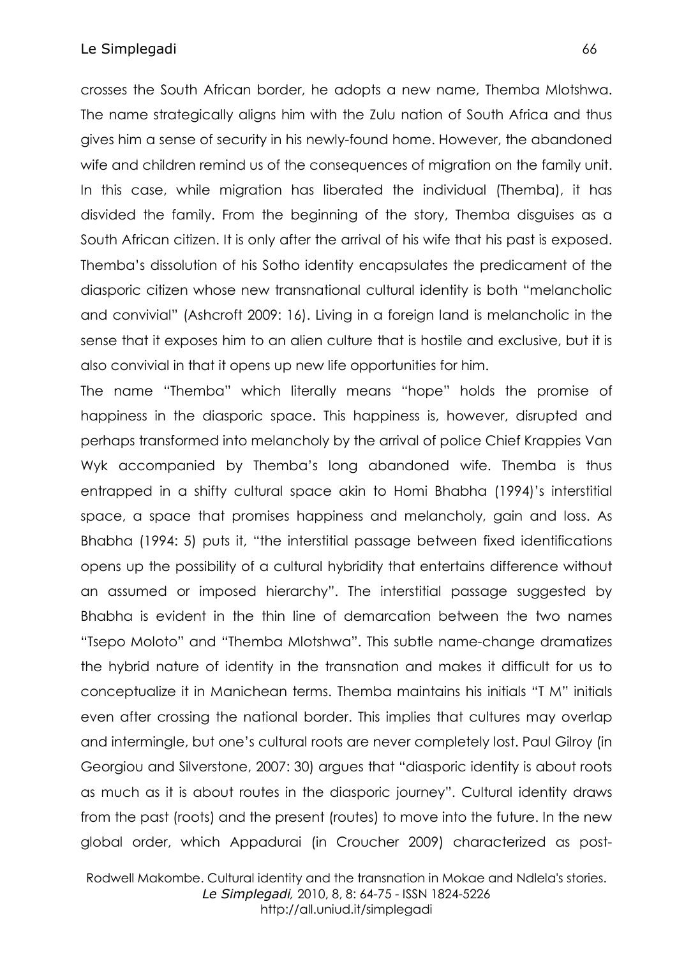crosses the South African border, he adopts a new name, Themba Mlotshwa. The name strategically aligns him with the Zulu nation of South Africa and thus gives him a sense of security in his newly-found home. However, the abandoned wife and children remind us of the consequences of migration on the family unit. In this case, while migration has liberated the individual (Themba), it has disvided the family. From the beginning of the story, Themba disguises as a South African citizen. It is only after the arrival of his wife that his past is exposed. Themba's dissolution of his Sotho identity encapsulates the predicament of the diasporic citizen whose new transnational cultural identity is both "melancholic and convivial" (Ashcroft 2009: 16). Living in a foreign land is melancholic in the sense that it exposes him to an alien culture that is hostile and exclusive, but it is also convivial in that it opens up new life opportunities for him.

The name "Themba" which literally means "hope" holds the promise of happiness in the diasporic space. This happiness is, however, disrupted and perhaps transformed into melancholy by the arrival of police Chief Krappies Van Wyk accompanied by Themba's long abandoned wife. Themba is thus entrapped in a shifty cultural space akin to Homi Bhabha (1994)'s interstitial space, a space that promises happiness and melancholy, gain and loss. As Bhabha (1994: 5) puts it, "the interstitial passage between fixed identifications opens up the possibility of a cultural hybridity that entertains difference without an assumed or imposed hierarchy". The interstitial passage suggested by Bhabha is evident in the thin line of demarcation between the two names "Tsepo Moloto" and "Themba Mlotshwa". This subtle name-change dramatizes the hybrid nature of identity in the transnation and makes it difficult for us to conceptualize it in Manichean terms. Themba maintains his initials "T M" initials even after crossing the national border. This implies that cultures may overlap and intermingle, but one's cultural roots are never completely lost. Paul Gilroy (in Georgiou and Silverstone, 2007: 30) argues that "diasporic identity is about roots as much as it is about routes in the diasporic journey". Cultural identity draws from the past (roots) and the present (routes) to move into the future. In the new global order, which Appadurai (in Croucher 2009) characterized as post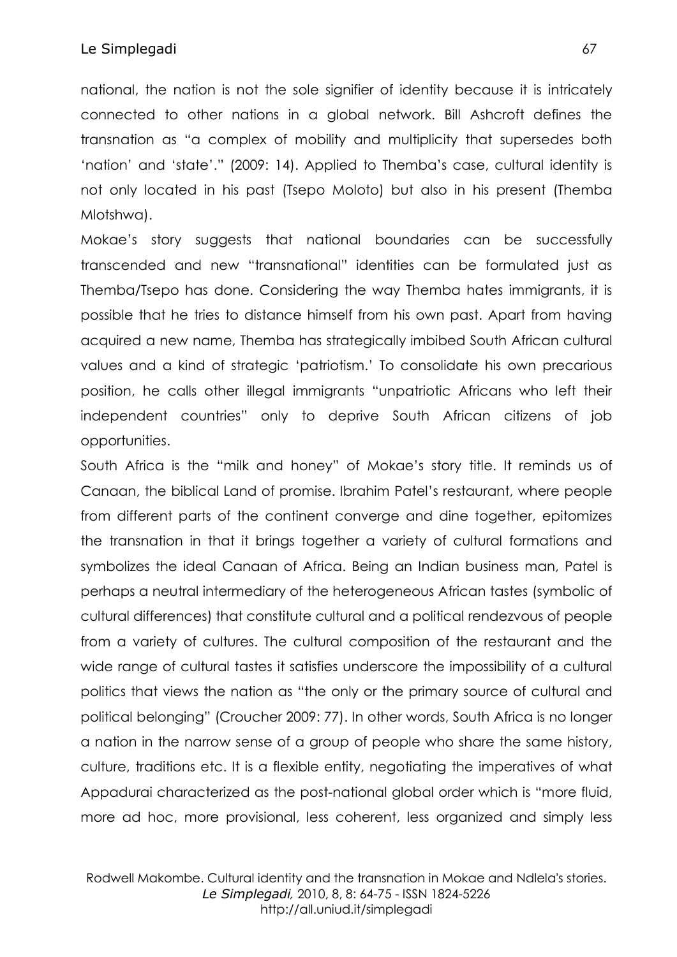national, the nation is not the sole signifier of identity because it is intricately connected to other nations in a global network. Bill Ashcroft defines the transnation as "a complex of mobility and multiplicity that supersedes both 'nation' and 'state'." (2009: 14). Applied to Themba's case, cultural identity is not only located in his past (Tsepo Moloto) but also in his present (Themba Mlotshwa).

Mokae's story suggests that national boundaries can be successfully transcended and new "transnational" identities can be formulated just as Themba/Tsepo has done. Considering the way Themba hates immigrants, it is possible that he tries to distance himself from his own past. Apart from having acquired a new name, Themba has strategically imbibed South African cultural values and a kind of strategic 'patriotism.' To consolidate his own precarious position, he calls other illegal immigrants "unpatriotic Africans who left their independent countries" only to deprive South African citizens of job opportunities.

South Africa is the "milk and honey" of Mokae's story title. It reminds us of Canaan, the biblical Land of promise. Ibrahim Patel's restaurant, where people from different parts of the continent converge and dine together, epitomizes the transnation in that it brings together a variety of cultural formations and symbolizes the ideal Canaan of Africa. Being an Indian business man, Patel is perhaps a neutral intermediary of the heterogeneous African tastes (symbolic of cultural differences) that constitute cultural and a political rendezvous of people from a variety of cultures. The cultural composition of the restaurant and the wide range of cultural tastes it satisfies underscore the impossibility of a cultural politics that views the nation as "the only or the primary source of cultural and political belonging" (Croucher 2009: 77). In other words, South Africa is no longer a nation in the narrow sense of a group of people who share the same history, culture, traditions etc. It is a flexible entity, negotiating the imperatives of what Appadurai characterized as the post-national global order which is "more fluid, more ad hoc, more provisional, less coherent, less organized and simply less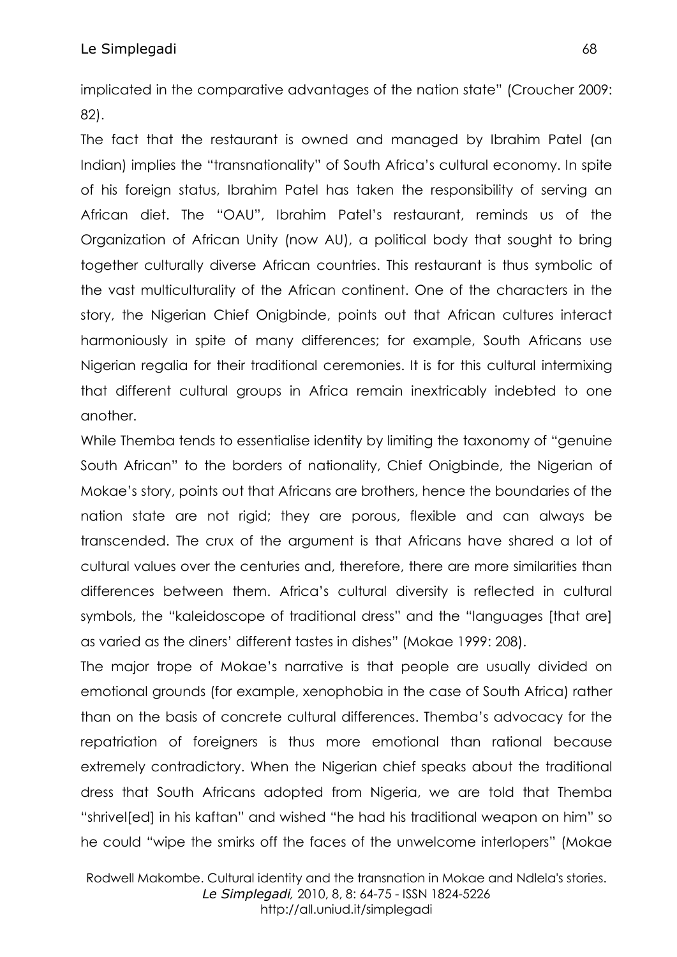implicated in the comparative advantages of the nation state" (Croucher 2009: 82).

The fact that the restaurant is owned and managed by Ibrahim Patel (an Indian) implies the "transnationality" of South Africa's cultural economy. In spite of his foreign status, Ibrahim Patel has taken the responsibility of serving an African diet. The "OAU", Ibrahim Patel's restaurant, reminds us of the Organization of African Unity (now AU), a political body that sought to bring together culturally diverse African countries. This restaurant is thus symbolic of the vast multiculturality of the African continent. One of the characters in the story, the Nigerian Chief Onigbinde, points out that African cultures interact harmoniously in spite of many differences; for example, South Africans use Nigerian regalia for their traditional ceremonies. It is for this cultural intermixing that different cultural groups in Africa remain inextricably indebted to one another.

While Themba tends to essentialise identity by limiting the taxonomy of "genuine South African" to the borders of nationality, Chief Onigbinde, the Nigerian of Mokae's story, points out that Africans are brothers, hence the boundaries of the nation state are not rigid; they are porous, flexible and can always be transcended. The crux of the argument is that Africans have shared a lot of cultural values over the centuries and, therefore, there are more similarities than differences between them. Africa's cultural diversity is reflected in cultural symbols, the "kaleidoscope of traditional dress" and the "languages [that are] as varied as the diners' different tastes in dishes" (Mokae 1999: 208).

The major trope of Mokae's narrative is that people are usually divided on emotional grounds (for example, xenophobia in the case of South Africa) rather than on the basis of concrete cultural differences. Themba's advocacy for the repatriation of foreigners is thus more emotional than rational because extremely contradictory. When the Nigerian chief speaks about the traditional dress that South Africans adopted from Nigeria, we are told that Themba "shrivel[ed] in his kaftan" and wished "he had his traditional weapon on him" so he could "wipe the smirks off the faces of the unwelcome interlopers" (Mokae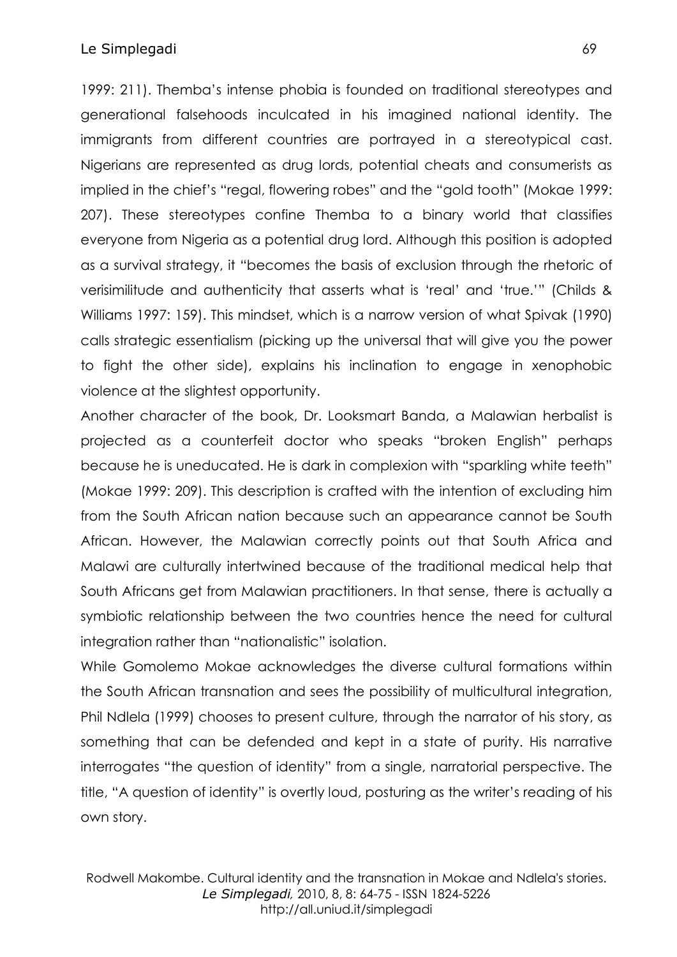1999: 211). Themba's intense phobia is founded on traditional stereotypes and generational falsehoods inculcated in his imagined national identity. The immigrants from different countries are portrayed in a stereotypical cast. Nigerians are represented as drug lords, potential cheats and consumerists as implied in the chief's "regal, flowering robes" and the "gold tooth" (Mokae 1999: 207). These stereotypes confine Themba to a binary world that classifies everyone from Nigeria as a potential drug lord. Although this position is adopted as a survival strategy, it "becomes the basis of exclusion through the rhetoric of verisimilitude and authenticity that asserts what is 'real' and 'true.'" (Childs & Williams 1997: 159). This mindset, which is a narrow version of what Spivak (1990) calls strategic essentialism (picking up the universal that will give you the power to fight the other side), explains his inclination to engage in xenophobic violence at the slightest opportunity.

Another character of the book, Dr. Looksmart Banda, a Malawian herbalist is projected as a counterfeit doctor who speaks "broken English" perhaps because he is uneducated. He is dark in complexion with "sparkling white teeth" (Mokae 1999: 209). This description is crafted with the intention of excluding him from the South African nation because such an appearance cannot be South African. However, the Malawian correctly points out that South Africa and Malawi are culturally intertwined because of the traditional medical help that South Africans get from Malawian practitioners. In that sense, there is actually a symbiotic relationship between the two countries hence the need for cultural integration rather than "nationalistic" isolation.

While Gomolemo Mokae acknowledges the diverse cultural formations within the South African transnation and sees the possibility of multicultural integration, Phil Ndlela (1999) chooses to present culture, through the narrator of his story, as something that can be defended and kept in a state of purity. His narrative interrogates "the question of identity" from a single, narratorial perspective. The title, "A question of identity" is overtly loud, posturing as the writer's reading of his own story.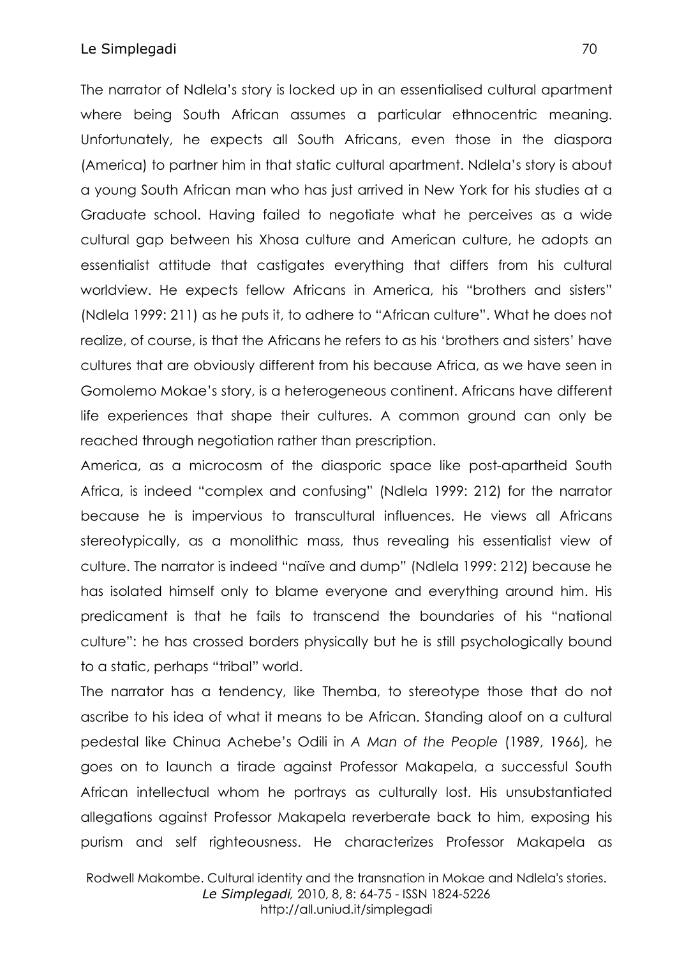## Le Simplegadi 70

The narrator of Ndlela's story is locked up in an essentialised cultural apartment where being South African assumes a particular ethnocentric meaning. Unfortunately, he expects all South Africans, even those in the diaspora (America) to partner him in that static cultural apartment. Ndlela's story is about a young South African man who has just arrived in New York for his studies at a Graduate school. Having failed to negotiate what he perceives as a wide cultural gap between his Xhosa culture and American culture, he adopts an essentialist attitude that castigates everything that differs from his cultural worldview. He expects fellow Africans in America, his "brothers and sisters" (Ndlela 1999: 211) as he puts it, to adhere to "African culture". What he does not realize, of course, is that the Africans he refers to as his 'brothers and sisters' have cultures that are obviously different from his because Africa, as we have seen in Gomolemo Mokae's story, is a heterogeneous continent. Africans have different life experiences that shape their cultures. A common ground can only be reached through negotiation rather than prescription.

America, as a microcosm of the diasporic space like post-apartheid South Africa, is indeed "complex and confusing" (Ndlela 1999: 212) for the narrator because he is impervious to transcultural influences. He views all Africans stereotypically, as a monolithic mass, thus revealing his essentialist view of culture. The narrator is indeed "naïve and dump" (Ndlela 1999: 212) because he has isolated himself only to blame everyone and everything around him. His predicament is that he fails to transcend the boundaries of his "national culture": he has crossed borders physically but he is still psychologically bound to a static, perhaps "tribal" world.

The narrator has a tendency, like Themba, to stereotype those that do not ascribe to his idea of what it means to be African. Standing aloof on a cultural pedestal like Chinua Achebe's Odili in *A Man of the People* (1989, 1966)*,* he goes on to launch a tirade against Professor Makapela, a successful South African intellectual whom he portrays as culturally lost. His unsubstantiated allegations against Professor Makapela reverberate back to him, exposing his purism and self righteousness. He characterizes Professor Makapela as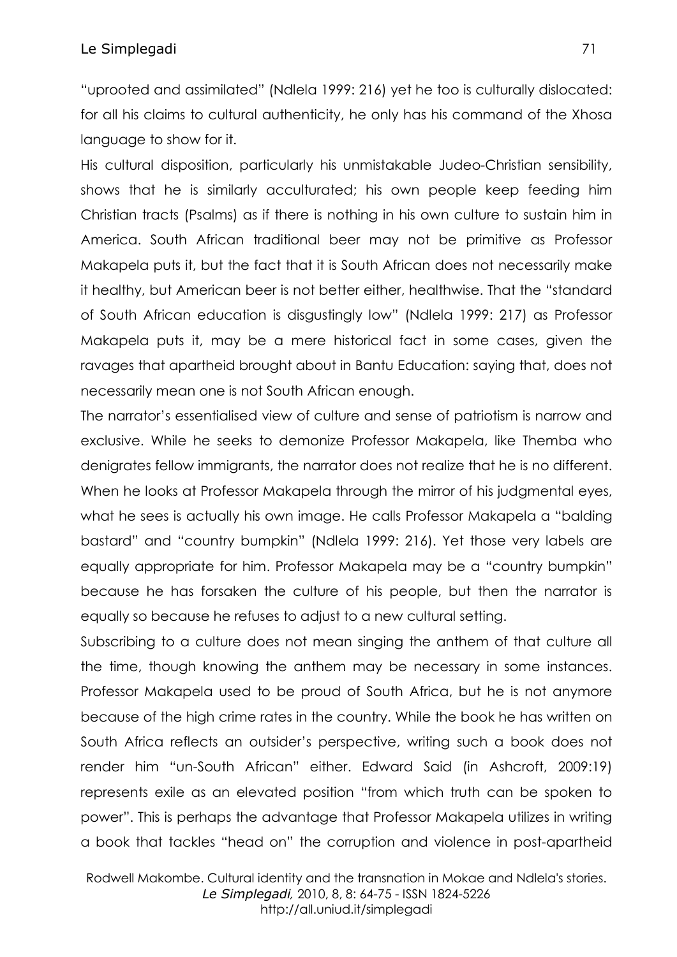"uprooted and assimilated" (Ndlela 1999: 216) yet he too is culturally dislocated: for all his claims to cultural authenticity, he only has his command of the Xhosa language to show for it.

His cultural disposition, particularly his unmistakable Judeo-Christian sensibility, shows that he is similarly acculturated; his own people keep feeding him Christian tracts (Psalms) as if there is nothing in his own culture to sustain him in America. South African traditional beer may not be primitive as Professor Makapela puts it, but the fact that it is South African does not necessarily make it healthy, but American beer is not better either, healthwise. That the "standard of South African education is disgustingly low" (Ndlela 1999: 217) as Professor Makapela puts it, may be a mere historical fact in some cases, given the ravages that apartheid brought about in Bantu Education: saying that, does not necessarily mean one is not South African enough.

The narrator's essentialised view of culture and sense of patriotism is narrow and exclusive. While he seeks to demonize Professor Makapela, like Themba who denigrates fellow immigrants, the narrator does not realize that he is no different. When he looks at Professor Makapela through the mirror of his judgmental eyes, what he sees is actually his own image. He calls Professor Makapela a "balding bastard" and "country bumpkin" (Ndlela 1999: 216). Yet those very labels are equally appropriate for him. Professor Makapela may be a "country bumpkin" because he has forsaken the culture of his people, but then the narrator is equally so because he refuses to adjust to a new cultural setting.

Subscribing to a culture does not mean singing the anthem of that culture all the time, though knowing the anthem may be necessary in some instances. Professor Makapela used to be proud of South Africa, but he is not anymore because of the high crime rates in the country. While the book he has written on South Africa reflects an outsider's perspective, writing such a book does not render him "un-South African" either. Edward Said (in Ashcroft, 2009:19) represents exile as an elevated position "from which truth can be spoken to power". This is perhaps the advantage that Professor Makapela utilizes in writing a book that tackles "head on" the corruption and violence in post-apartheid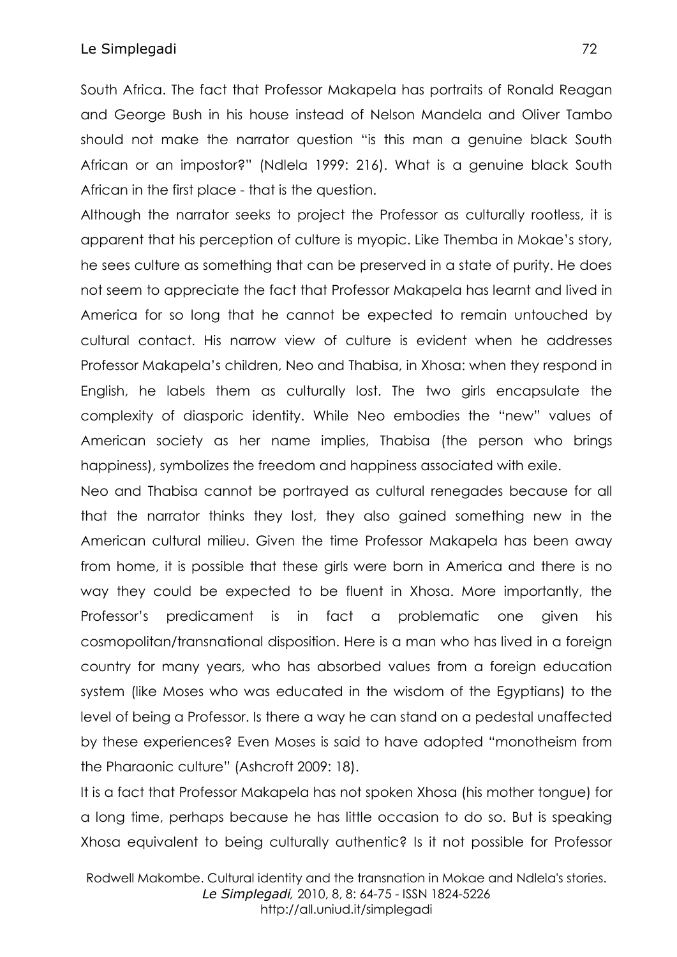South Africa. The fact that Professor Makapela has portraits of Ronald Reagan and George Bush in his house instead of Nelson Mandela and Oliver Tambo should not make the narrator question "is this man a genuine black South African or an impostor?" (Ndlela 1999: 216). What is a genuine black South African in the first place - that is the question.

Although the narrator seeks to project the Professor as culturally rootless, it is apparent that his perception of culture is myopic. Like Themba in Mokae's story, he sees culture as something that can be preserved in a state of purity. He does not seem to appreciate the fact that Professor Makapela has learnt and lived in America for so long that he cannot be expected to remain untouched by cultural contact. His narrow view of culture is evident when he addresses Professor Makapela's children, Neo and Thabisa, in Xhosa: when they respond in English, he labels them as culturally lost. The two girls encapsulate the complexity of diasporic identity. While Neo embodies the "new" values of American society as her name implies, Thabisa (the person who brings happiness), symbolizes the freedom and happiness associated with exile.

Neo and Thabisa cannot be portrayed as cultural renegades because for all that the narrator thinks they lost, they also gained something new in the American cultural milieu. Given the time Professor Makapela has been away from home, it is possible that these girls were born in America and there is no way they could be expected to be fluent in Xhosa. More importantly, the Professor's predicament is in fact a problematic one given his cosmopolitan/transnational disposition. Here is a man who has lived in a foreign country for many years, who has absorbed values from a foreign education system (like Moses who was educated in the wisdom of the Egyptians) to the level of being a Professor. Is there a way he can stand on a pedestal unaffected by these experiences? Even Moses is said to have adopted "monotheism from the Pharaonic culture" (Ashcroft 2009: 18).

It is a fact that Professor Makapela has not spoken Xhosa (his mother tongue) for a long time, perhaps because he has little occasion to do so. But is speaking Xhosa equivalent to being culturally authentic? Is it not possible for Professor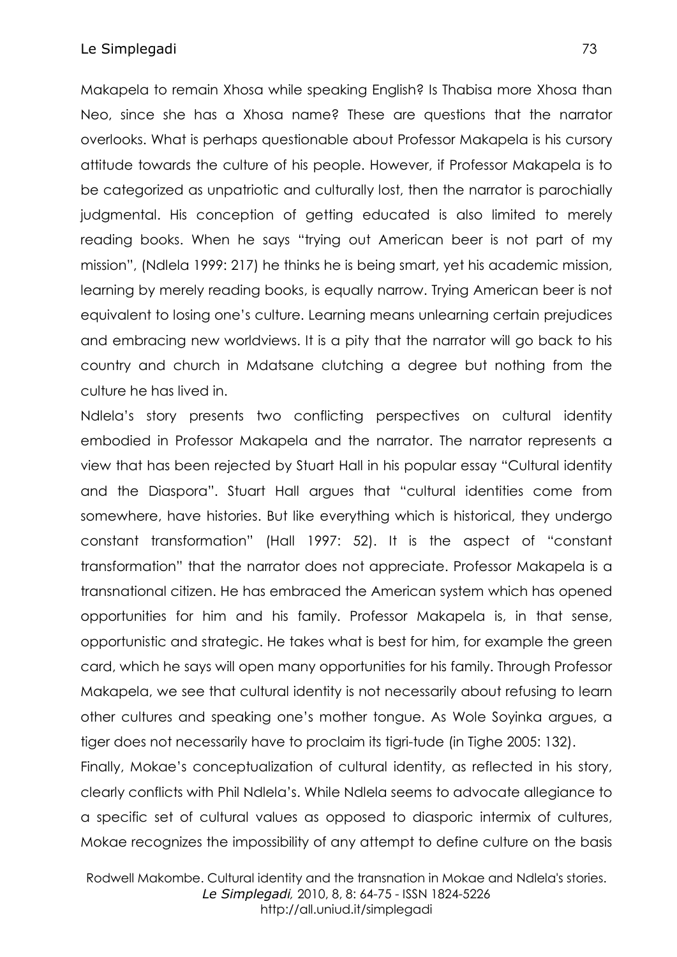Makapela to remain Xhosa while speaking English? Is Thabisa more Xhosa than Neo, since she has a Xhosa name? These are questions that the narrator overlooks. What is perhaps questionable about Professor Makapela is his cursory attitude towards the culture of his people. However, if Professor Makapela is to be categorized as unpatriotic and culturally lost, then the narrator is parochially judgmental. His conception of getting educated is also limited to merely reading books. When he says "trying out American beer is not part of my mission", (Ndlela 1999: 217) he thinks he is being smart, yet his academic mission, learning by merely reading books, is equally narrow. Trying American beer is not equivalent to losing one's culture. Learning means unlearning certain prejudices and embracing new worldviews. It is a pity that the narrator will go back to his country and church in Mdatsane clutching a degree but nothing from the culture he has lived in.

Ndlela's story presents two conflicting perspectives on cultural identity embodied in Professor Makapela and the narrator. The narrator represents a view that has been rejected by Stuart Hall in his popular essay "Cultural identity and the Diaspora". Stuart Hall argues that "cultural identities come from somewhere, have histories. But like everything which is historical, they undergo constant transformation" (Hall 1997: 52). It is the aspect of "constant transformation" that the narrator does not appreciate. Professor Makapela is a transnational citizen. He has embraced the American system which has opened opportunities for him and his family. Professor Makapela is, in that sense, opportunistic and strategic. He takes what is best for him, for example the green card, which he says will open many opportunities for his family. Through Professor Makapela, we see that cultural identity is not necessarily about refusing to learn other cultures and speaking one's mother tongue. As Wole Soyinka argues, a tiger does not necessarily have to proclaim its tigri-tude (in Tighe 2005: 132).

Finally, Mokae's conceptualization of cultural identity, as reflected in his story, clearly conflicts with Phil Ndlela's. While Ndlela seems to advocate allegiance to a specific set of cultural values as opposed to diasporic intermix of cultures, Mokae recognizes the impossibility of any attempt to define culture on the basis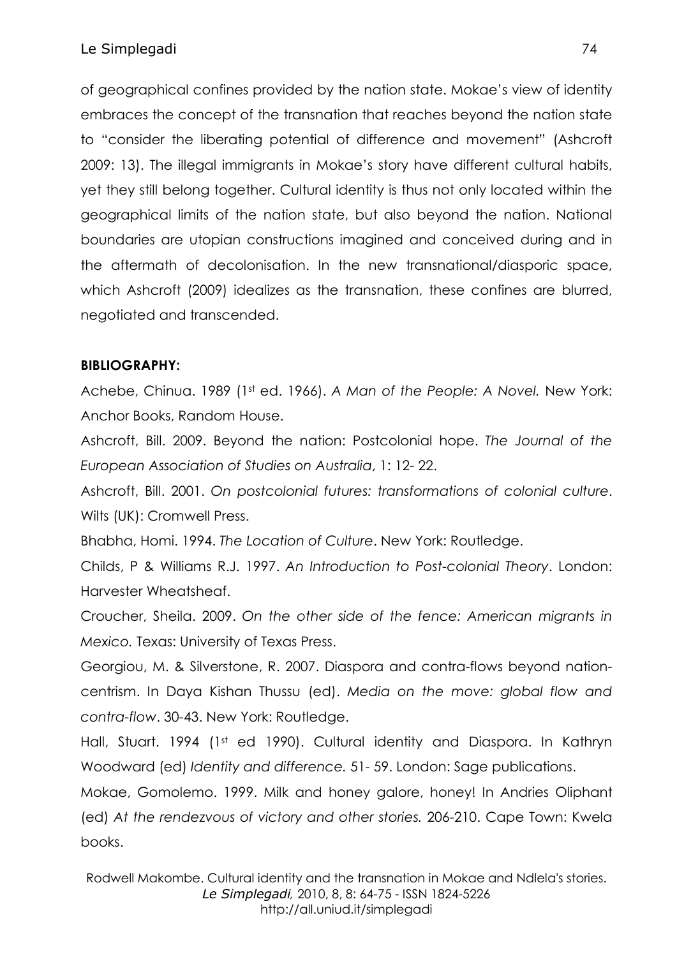of geographical confines provided by the nation state. Mokae's view of identity embraces the concept of the transnation that reaches beyond the nation state to "consider the liberating potential of difference and movement" (Ashcroft 2009: 13). The illegal immigrants in Mokae's story have different cultural habits, yet they still belong together. Cultural identity is thus not only located within the geographical limits of the nation state, but also beyond the nation. National boundaries are utopian constructions imagined and conceived during and in the aftermath of decolonisation. In the new transnational/diasporic space, which Ashcroft (2009) idealizes as the transnation, these confines are blurred, negotiated and transcended.

## **BIBLIOGRAPHY:**

Achebe, Chinua. 1989 (1st ed. 1966). *A Man of the People: A Novel.* New York: Anchor Books, Random House.

Ashcroft, Bill. 2009. Beyond the nation: Postcolonial hope. *The Journal of the European Association of Studies on Australia*, 1: 12- 22.

Ashcroft, Bill. 2001. *On postcolonial futures: transformations of colonial culture*. Wilts (UK): Cromwell Press.

Bhabha, Homi. 1994. *The Location of Culture*. New York: Routledge.

Childs, P & Williams R.J. 1997. *An Introduction to Post-colonial Theory*. London: Harvester Wheatsheaf.

Croucher, Sheila. 2009. *On the other side of the fence: American migrants in Mexico.* Texas: University of Texas Press.

Georgiou, M. & Silverstone, R. 2007. Diaspora and contra-flows beyond nationcentrism. In Daya Kishan Thussu (ed). *Media on the move: global flow and contra-flow*. 30-43. New York: Routledge.

Hall, Stuart. 1994 (1st ed 1990). Cultural identity and Diaspora. In Kathryn Woodward (ed) *Identity and difference.* 51- 59. London: Sage publications.

Mokae, Gomolemo. 1999. Milk and honey galore, honey! In Andries Oliphant (ed) *At the rendezvous of victory and other stories.* 206-210. Cape Town: Kwela books.

Rodwell Makombe. Cultural identity and the transnation in Mokae and Ndlela's stories. *Le Simplegadi,* 2010, 8, 8: 64-75 - ISSN 1824-5226 http://all.uniud.it/simplegadi